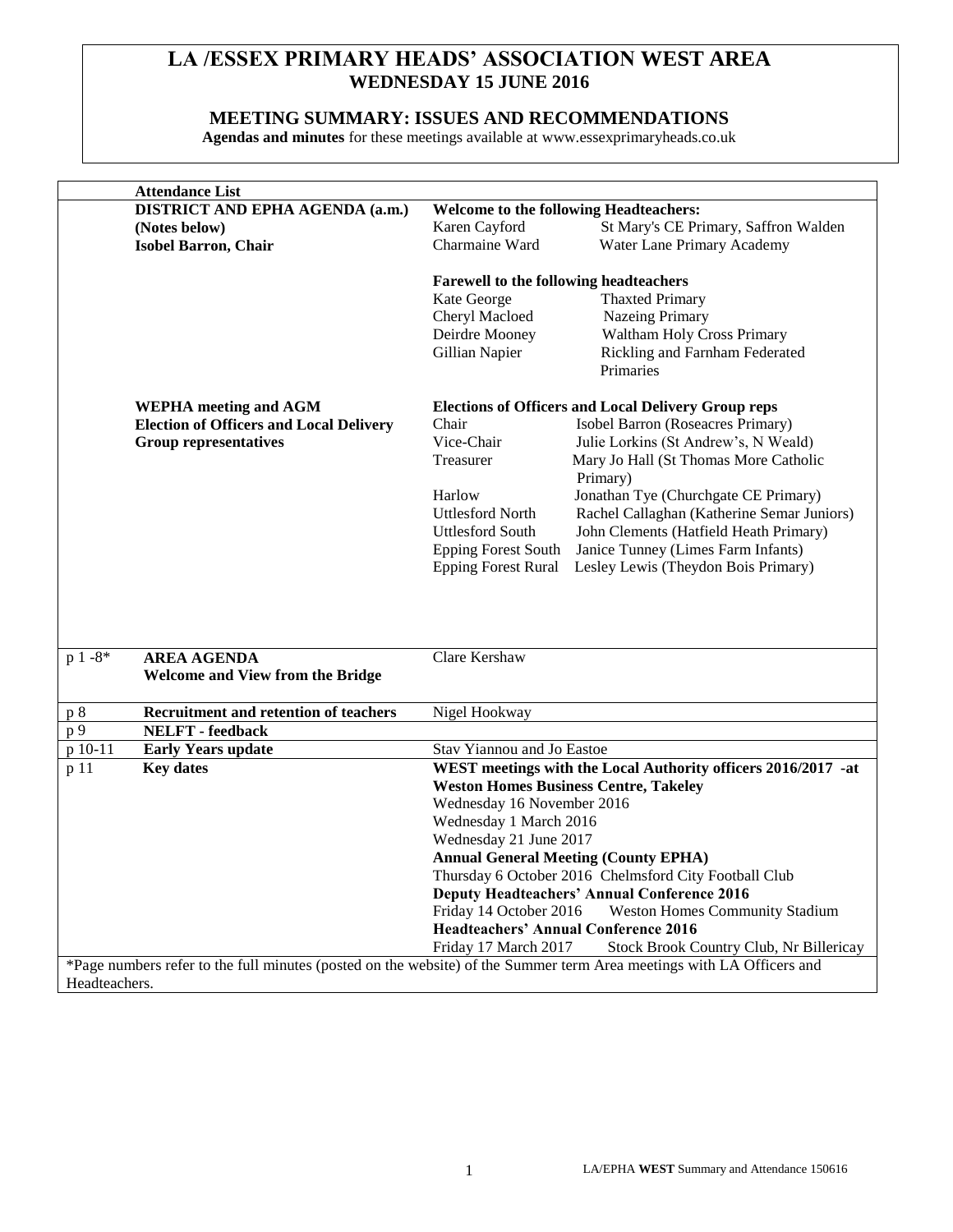# **LA /ESSEX PRIMARY HEADS' ASSOCIATION WEST AREA WEDNESDAY 15 JUNE 2016**

# **MEETING SUMMARY: ISSUES AND RECOMMENDATIONS**

**Agendas and minutes** for these meetings available at www.essexprimaryheads.co.uk

|                                            | <b>Attendance List</b>                                        |                                                            |                                                                                             |
|--------------------------------------------|---------------------------------------------------------------|------------------------------------------------------------|---------------------------------------------------------------------------------------------|
|                                            | <b>DISTRICT AND EPHA AGENDA (a.m.)</b>                        | <b>Welcome to the following Headteachers:</b>              |                                                                                             |
|                                            | (Notes below)                                                 | Karen Cayford                                              | St Mary's CE Primary, Saffron Walden                                                        |
|                                            | <b>Isobel Barron, Chair</b>                                   | Charmaine Ward                                             | Water Lane Primary Academy                                                                  |
|                                            |                                                               | Farewell to the following headteachers                     |                                                                                             |
|                                            |                                                               | Kate George                                                | <b>Thaxted Primary</b>                                                                      |
|                                            |                                                               | Cheryl Macloed                                             | Nazeing Primary                                                                             |
|                                            |                                                               | Deirdre Mooney                                             | Waltham Holy Cross Primary                                                                  |
|                                            |                                                               | Gillian Napier                                             | Rickling and Farnham Federated                                                              |
|                                            |                                                               |                                                            | Primaries                                                                                   |
|                                            | <b>WEPHA</b> meeting and AGM                                  | <b>Elections of Officers and Local Delivery Group reps</b> |                                                                                             |
|                                            | <b>Election of Officers and Local Delivery</b>                | Chair                                                      | Isobel Barron (Roseacres Primary)                                                           |
|                                            | <b>Group representatives</b>                                  | Vice-Chair                                                 | Julie Lorkins (St Andrew's, N Weald)                                                        |
|                                            |                                                               | Treasurer                                                  | Mary Jo Hall (St Thomas More Catholic                                                       |
|                                            |                                                               |                                                            | Primary)                                                                                    |
|                                            |                                                               | Harlow                                                     | Jonathan Tye (Churchgate CE Primary)                                                        |
|                                            |                                                               | <b>Uttlesford North</b>                                    | Rachel Callaghan (Katherine Semar Juniors)                                                  |
|                                            |                                                               | Uttlesford South                                           | John Clements (Hatfield Heath Primary)                                                      |
|                                            |                                                               | <b>Epping Forest South</b>                                 | Janice Tunney (Limes Farm Infants)                                                          |
|                                            |                                                               | <b>Epping Forest Rural</b>                                 | Lesley Lewis (Theydon Bois Primary)                                                         |
|                                            |                                                               |                                                            |                                                                                             |
| $p 1 - 8*$                                 | <b>AREA AGENDA</b><br><b>Welcome and View from the Bridge</b> | Clare Kershaw                                              |                                                                                             |
|                                            |                                                               |                                                            |                                                                                             |
|                                            | <b>Recruitment and retention of teachers</b>                  | Nigel Hookway                                              |                                                                                             |
|                                            | <b>NELFT</b> - feedback                                       |                                                            |                                                                                             |
|                                            | <b>Early Years update</b>                                     | Stav Yiannou and Jo Eastoe                                 |                                                                                             |
|                                            | <b>Key dates</b>                                              |                                                            |                                                                                             |
|                                            |                                                               |                                                            | <b>Weston Homes Business Centre, Takeley</b>                                                |
|                                            |                                                               | Wednesday 16 November 2016                                 |                                                                                             |
|                                            |                                                               | Wednesday 1 March 2016                                     |                                                                                             |
|                                            |                                                               | Wednesday 21 June 2017                                     | WEST meetings with the Local Authority officers 2016/2017 -at                               |
|                                            |                                                               |                                                            | <b>Annual General Meeting (County EPHA)</b>                                                 |
| p8<br>$p\overline{9}$<br>$p 10-11$<br>p 11 |                                                               |                                                            | Thursday 6 October 2016 Chelmsford City Football Club                                       |
|                                            |                                                               | Friday 14 October 2016                                     | <b>Deputy Headteachers' Annual Conference 2016</b><br><b>Weston Homes Community Stadium</b> |
|                                            |                                                               | <b>Headteachers' Annual Conference 2016</b>                |                                                                                             |
|                                            |                                                               | Friday 17 March 2017                                       | Stock Brook Country Club, Nr Billericay                                                     |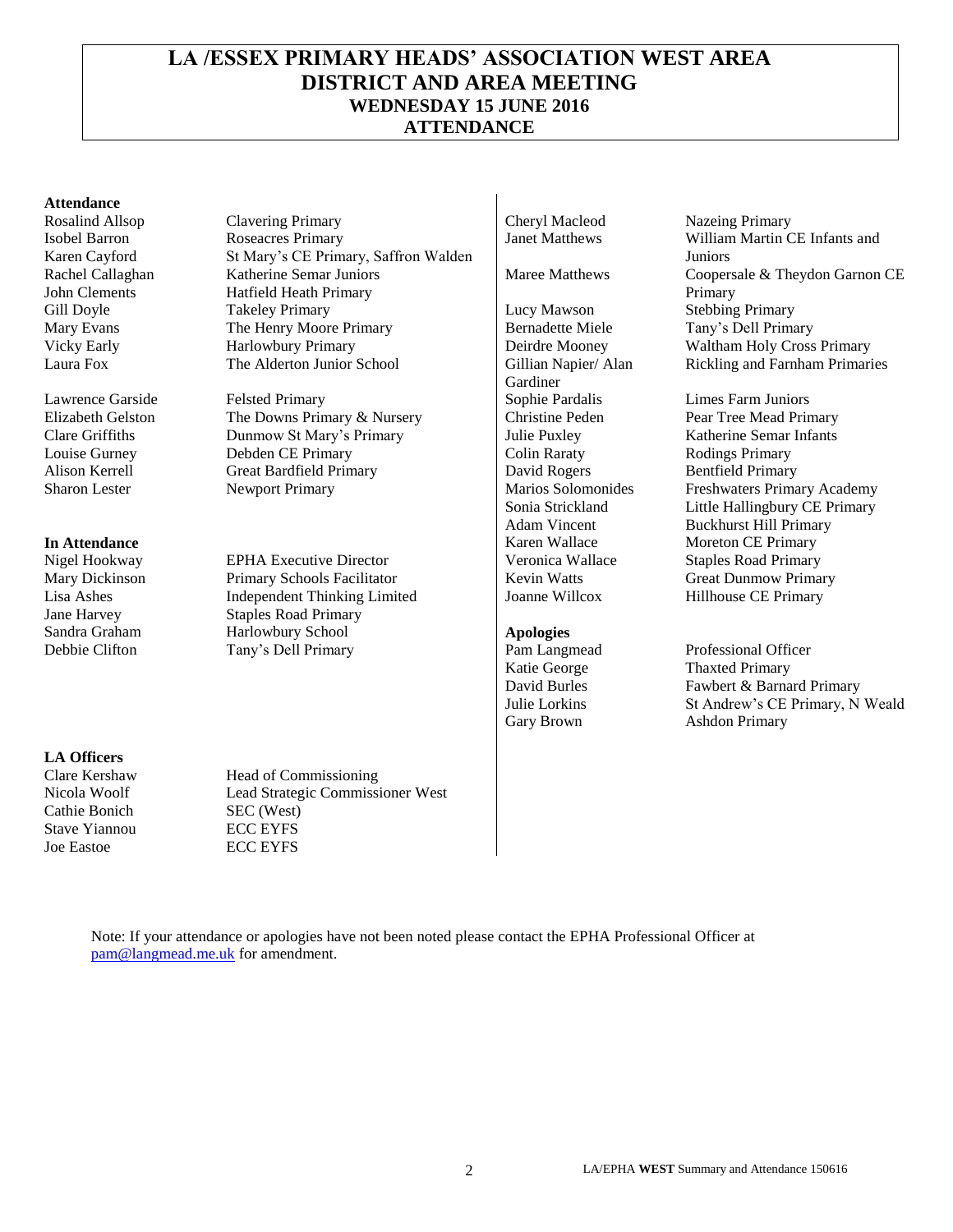# **LA /ESSEX PRIMARY HEADS' ASSOCIATION WEST AREA DISTRICT AND AREA MEETING WEDNESDAY 15 JUNE 2016 ATTENDANCE**

#### **Attendance**

Isobel Barron Karen Cayford Rachel Callaghan John Clements

Alison Kerrell Sharon Lester

Rosalind Allsop Clavering Primary Cheryl Macleod Nazeing Primary Roseacres Primary St Mary's CE Primary, Saffron Walden Katherine Semar Juniors Hatfield Heath Primary Gill Doyle Takeley Primary <br>
Mary Evans The Henry Moore Primary Bernadette Miele Tany's Dell Primary Mary Evans The Henry Moore Primary Bernadette Miele<br>Vicky Early Harlowbury Primary Deirdre Mooney Vicky Early **Harlowbury Primary** Deirdre Mooney Waltham Holy Cross Primary<br>
Laura Fox The Alderton Junior School Gillian Nanier/ Alan Rickling and Farnham Primari The Alderton Junior School Gillian Napier/ Alan

Lawrence Garside Felsted Primary Sophie Pardalis Limes Farm Juniors Elizabeth Gelston The Downs Primary & Nursery Christine Peden Pear Tree Mead Primary Clare Griffiths Dunmow St Mary's Primary Julie Puxley Katherine Semar Infants<br>
Louise Gurney Debden CE Primary Colin Raraty Rodings Primary Louise Gurney Debden CE Primary Colin Raraty Great Bardfield Primary Newport Primary

Nigel Hookway **EPHA Executive Director** Veronica Wallace Staples Road Primary<br>
Mary Dickinson Primary Schools Facilitator **Veronica Wallace** Staples Road Primary Mary Dickinson Primary Schools Facilitator Revin Watts Great Dunmow Primary Lisa Ashes Independent Thinking Limited Joanne Willcox Hillhouse CE Primary Jane Harvey Staples Road Primary Sandra Graham **Harlowbury School Apologies**<br>
Debbie Clifton Tany's Dell Primary **Apologies**<br>
Pam Langmead

Gardiner David Rogers Marios Solomonides **In Attendance** Karen Wallace Moreton CE Primary

Janet Matthews William Martin CE Infants and Juniors Maree Matthews Coopersale & Theydon Garnon CE Primary Rickling and Farnham Primaries

Bentfield Primary Freshwaters Primary Academy Sonia Strickland Little Hallingbury CE Primary<br>Adam Vincent Buckhurst Hill Primary **Buckhurst Hill Primary** 

Tany's Dell Primary Pam Langmead Professional Officer<br>
Ratie George Thaxted Primary Thaxted Primary David Burles Fawbert & Barnard Primary Julie Lorkins St Andrew's CE Primary, N Weald Gary Brown Ashdon Primary

## **LA Officers**

Cathie Bonich SEC (West) Stave Yiannou ECC EYFS Joe Eastoe ECC EYFS

Clare Kershaw Head of Commissioning Nicola Woolf Lead Strategic Commissioner West

> Note: If your attendance or apologies have not been noted please contact the EPHA Professional Officer at [pam@langmead.me.uk](mailto:pam@langmead.me.uk) for amendment.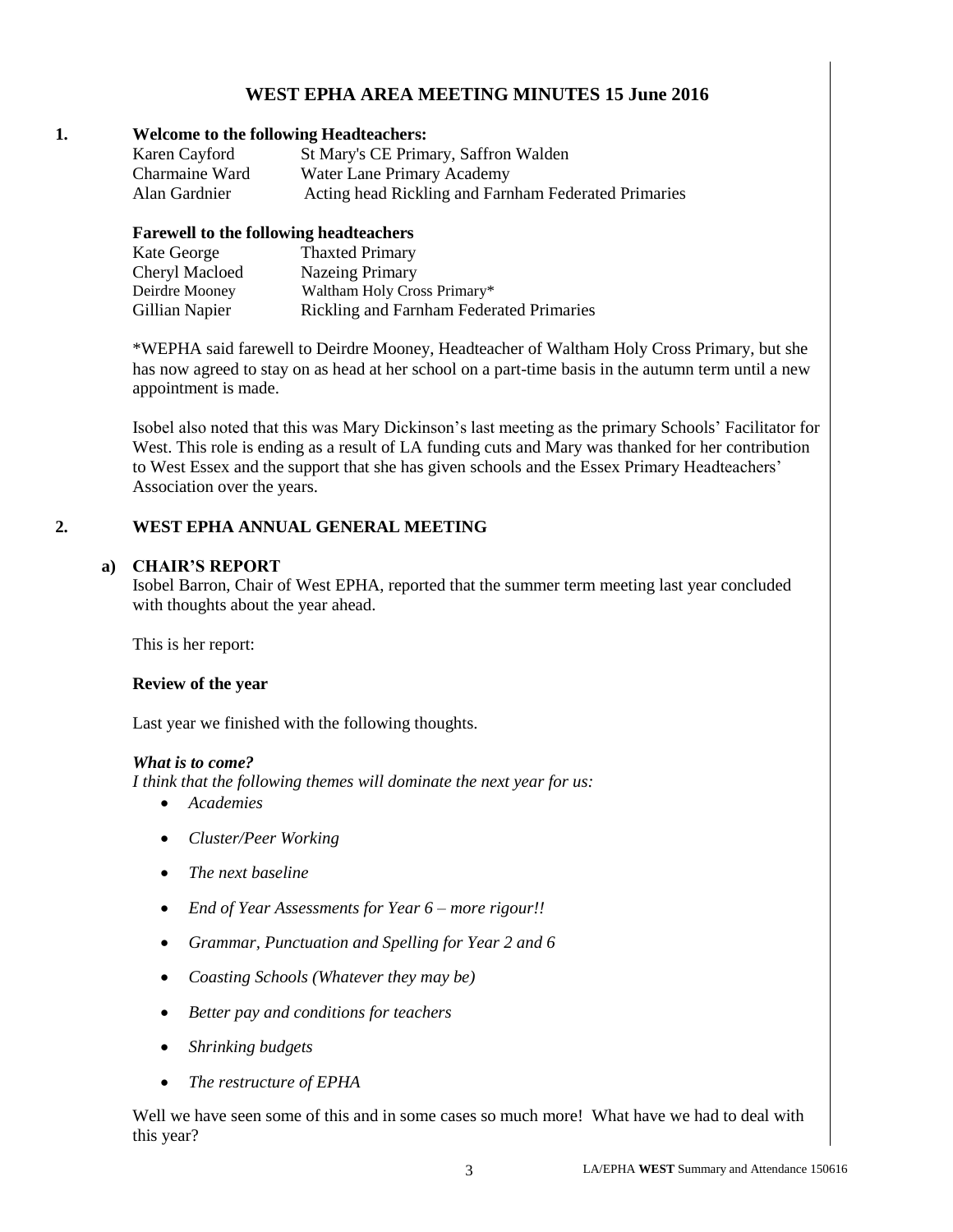# **WEST EPHA AREA MEETING MINUTES 15 June 2016**

### **1. Welcome to the following Headteachers:**

| Karen Cayford  | St Mary's CE Primary, Saffron Walden                 |
|----------------|------------------------------------------------------|
| Charmaine Ward | Water Lane Primary Academy                           |
| Alan Gardnier  | Acting head Rickling and Farnham Federated Primaries |

#### **Farewell to the following headteachers**

| Kate George    | <b>Thaxted Primary</b>                          |
|----------------|-------------------------------------------------|
| Cheryl Macloed | Nazeing Primary                                 |
| Deirdre Mooney | Waltham Holy Cross Primary*                     |
| Gillian Napier | <b>Rickling and Farnham Federated Primaries</b> |

\*WEPHA said farewell to Deirdre Mooney, Headteacher of Waltham Holy Cross Primary, but she has now agreed to stay on as head at her school on a part-time basis in the autumn term until a new appointment is made.

Isobel also noted that this was Mary Dickinson's last meeting as the primary Schools' Facilitator for West. This role is ending as a result of LA funding cuts and Mary was thanked for her contribution to West Essex and the support that she has given schools and the Essex Primary Headteachers' Association over the years.

#### **2. WEST EPHA ANNUAL GENERAL MEETING**

#### **a) CHAIR'S REPORT**

Isobel Barron, Chair of West EPHA, reported that the summer term meeting last year concluded with thoughts about the year ahead.

This is her report:

## **Review of the year**

Last year we finished with the following thoughts.

#### *What is to come?*

*I think that the following themes will dominate the next year for us:*

- *Academies*
- *Cluster/Peer Working*
- *The next baseline*
- *End of Year Assessments for Year 6 – more rigour!!*
- *Grammar, Punctuation and Spelling for Year 2 and 6*
- *Coasting Schools (Whatever they may be)*
- *Better pay and conditions for teachers*
- *Shrinking budgets*
- *The restructure of EPHA*

Well we have seen some of this and in some cases so much more! What have we had to deal with this year?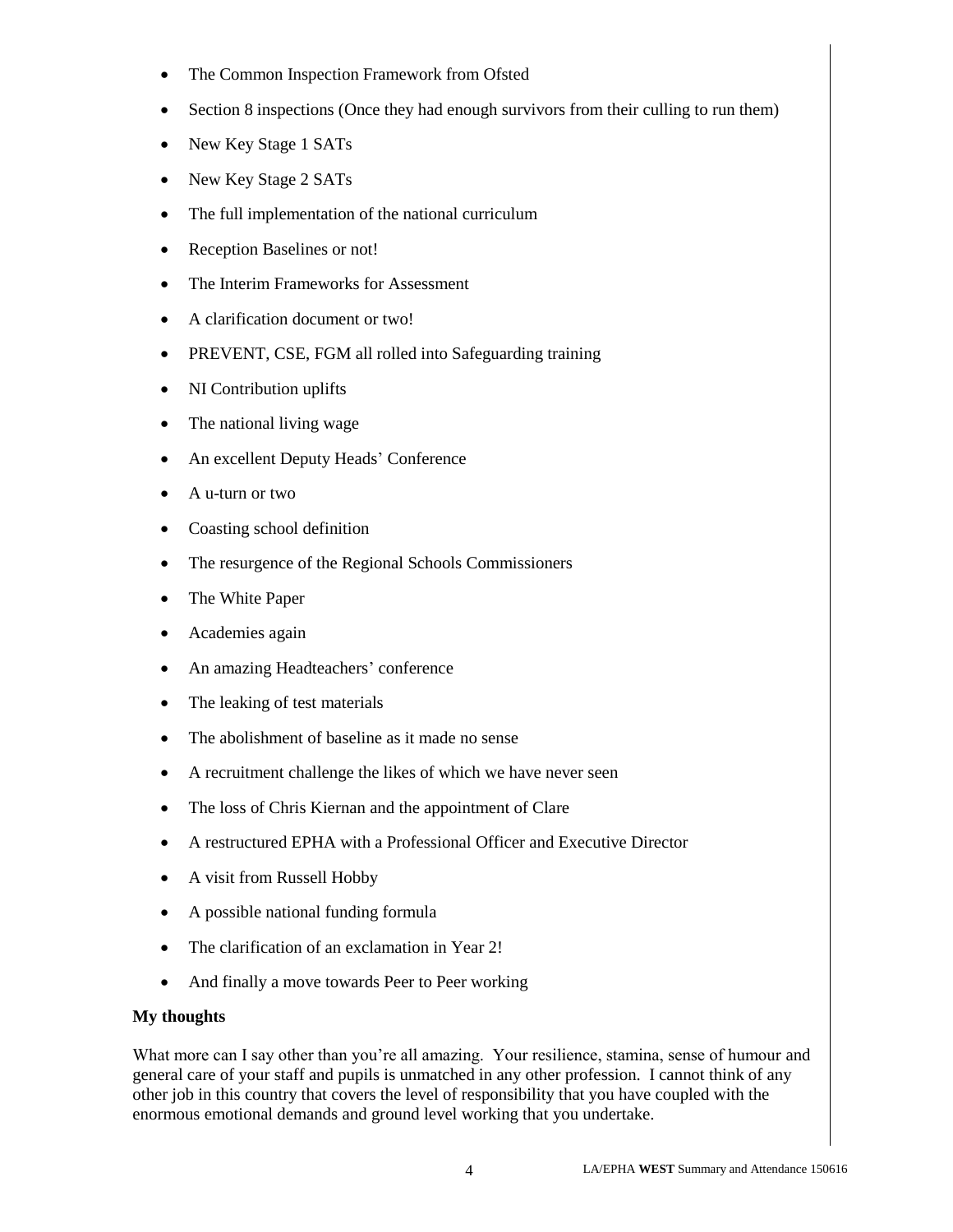- The Common Inspection Framework from Ofsted
- Section 8 inspections (Once they had enough survivors from their culling to run them)
- New Key Stage 1 SATs
- New Key Stage 2 SATs
- The full implementation of the national curriculum
- Reception Baselines or not!
- The Interim Frameworks for Assessment
- A clarification document or two!
- PREVENT, CSE, FGM all rolled into Safeguarding training
- NI Contribution uplifts
- The national living wage
- An excellent Deputy Heads' Conference
- A u-turn or two
- Coasting school definition
- The resurgence of the Regional Schools Commissioners
- The White Paper
- Academies again
- An amazing Headteachers' conference
- The leaking of test materials
- The abolishment of baseline as it made no sense
- A recruitment challenge the likes of which we have never seen
- The loss of Chris Kiernan and the appointment of Clare
- A restructured EPHA with a Professional Officer and Executive Director
- A visit from Russell Hobby
- A possible national funding formula
- The clarification of an exclamation in Year 2!
- And finally a move towards Peer to Peer working

#### **My thoughts**

What more can I say other than you're all amazing. Your resilience, stamina, sense of humour and general care of your staff and pupils is unmatched in any other profession. I cannot think of any other job in this country that covers the level of responsibility that you have coupled with the enormous emotional demands and ground level working that you undertake.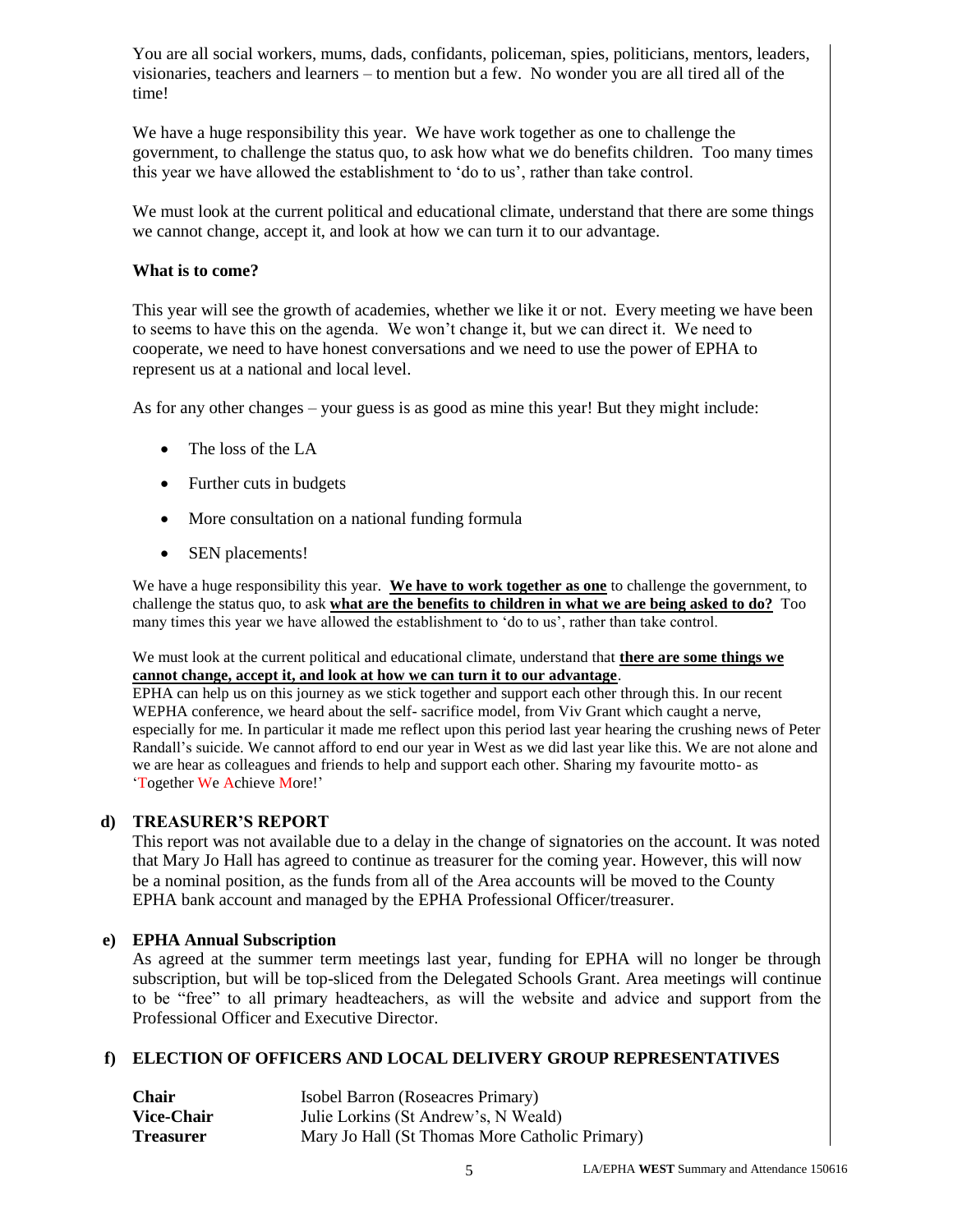You are all social workers, mums, dads, confidants, policeman, spies, politicians, mentors, leaders, visionaries, teachers and learners – to mention but a few. No wonder you are all tired all of the time!

We have a huge responsibility this year. We have work together as one to challenge the government, to challenge the status quo, to ask how what we do benefits children. Too many times this year we have allowed the establishment to 'do to us', rather than take control.

We must look at the current political and educational climate, understand that there are some things we cannot change, accept it, and look at how we can turn it to our advantage.

#### **What is to come?**

This year will see the growth of academies, whether we like it or not. Every meeting we have been to seems to have this on the agenda. We won't change it, but we can direct it. We need to cooperate, we need to have honest conversations and we need to use the power of EPHA to represent us at a national and local level.

As for any other changes – your guess is as good as mine this year! But they might include:

- The loss of the LA
- Further cuts in budgets
- More consultation on a national funding formula
- SEN placements!

We have a huge responsibility this year. **We have to work together as one** to challenge the government, to challenge the status quo, to ask **what are the benefits to children in what we are being asked to do?** Too many times this year we have allowed the establishment to 'do to us', rather than take control.

We must look at the current political and educational climate, understand that **there are some things we cannot change, accept it, and look at how we can turn it to our advantage**.

EPHA can help us on this journey as we stick together and support each other through this. In our recent WEPHA conference, we heard about the self- sacrifice model, from Viv Grant which caught a nerve, especially for me. In particular it made me reflect upon this period last year hearing the crushing news of Peter Randall's suicide. We cannot afford to end our year in West as we did last year like this. We are not alone and we are hear as colleagues and friends to help and support each other. Sharing my favourite motto- as 'Together We Achieve More!'

#### **d) TREASURER'S REPORT**

This report was not available due to a delay in the change of signatories on the account. It was noted that Mary Jo Hall has agreed to continue as treasurer for the coming year. However, this will now be a nominal position, as the funds from all of the Area accounts will be moved to the County EPHA bank account and managed by the EPHA Professional Officer/treasurer.

#### **e) EPHA Annual Subscription**

As agreed at the summer term meetings last year, funding for EPHA will no longer be through subscription, but will be top-sliced from the Delegated Schools Grant. Area meetings will continue to be "free" to all primary headteachers, as will the website and advice and support from the Professional Officer and Executive Director.

#### **f) ELECTION OF OFFICERS AND LOCAL DELIVERY GROUP REPRESENTATIVES**

| <b>Chair</b>      | Isobel Barron (Roseacres Primary)              |
|-------------------|------------------------------------------------|
| <b>Vice-Chair</b> | Julie Lorkins (St Andrew's, N Weald)           |
| <b>Treasurer</b>  | Mary Jo Hall (St Thomas More Catholic Primary) |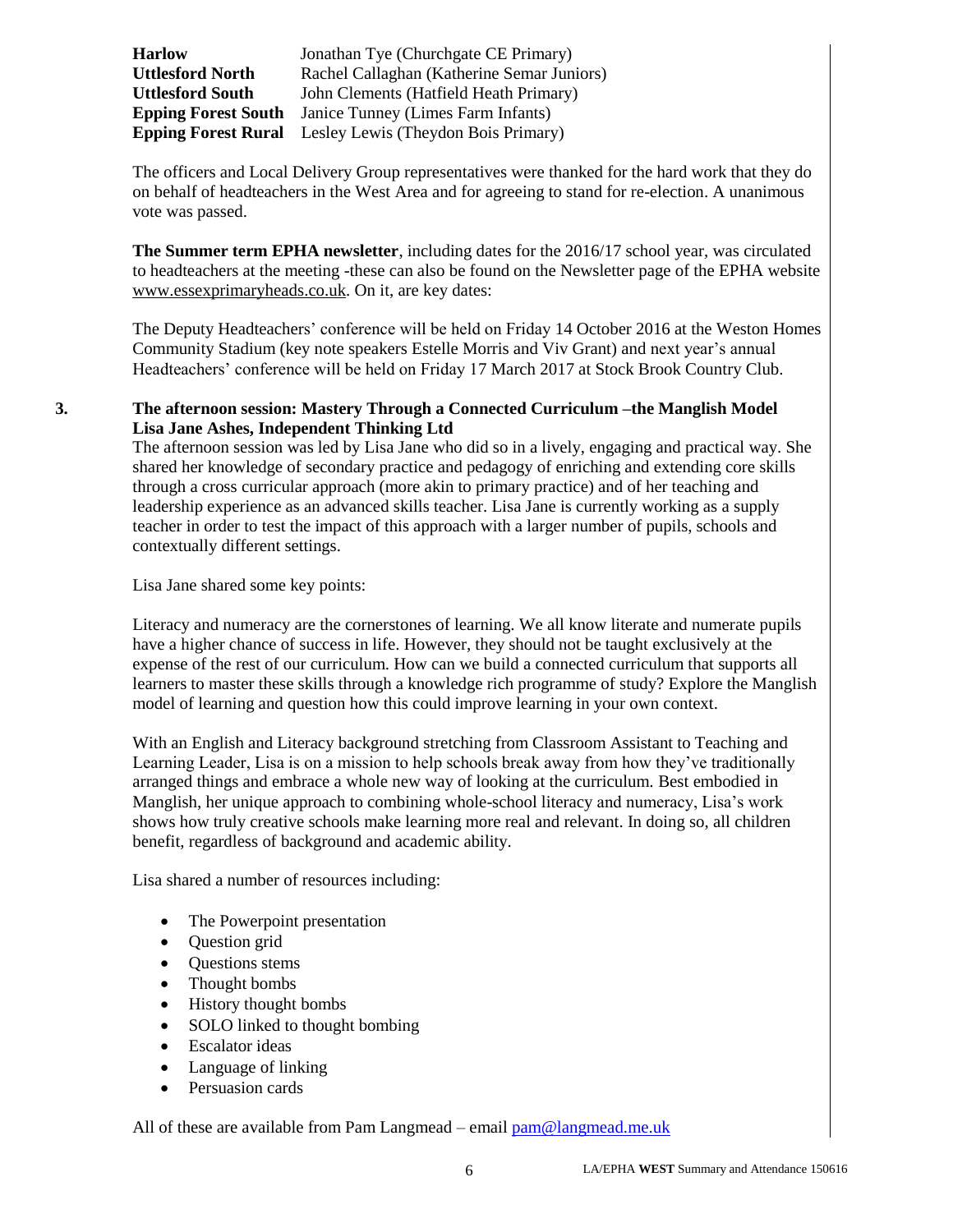**Harlow** Jonathan Tye (Churchgate CE Primary) **Uttlesford North** Rachel Callaghan (Katherine Semar Juniors) **Uttlesford South** John Clements (Hatfield Heath Primary) **Epping Forest South** Janice Tunney (Limes Farm Infants) **Epping Forest Rural** Lesley Lewis (Theydon Bois Primary)

The officers and Local Delivery Group representatives were thanked for the hard work that they do on behalf of headteachers in the West Area and for agreeing to stand for re-election. A unanimous vote was passed.

**The Summer term EPHA newsletter**, including dates for the 2016/17 school year, was circulated to headteachers at the meeting -these can also be found on the Newsletter page of the EPHA website [www.essexprimaryheads.co.uk.](http://www.essexprimaryheads.co.uk/) On it, are key dates:

The Deputy Headteachers' conference will be held on Friday 14 October 2016 at the Weston Homes Community Stadium (key note speakers Estelle Morris and Viv Grant) and next year's annual Headteachers' conference will be held on Friday 17 March 2017 at Stock Brook Country Club.

#### **3. The afternoon session: Mastery Through a Connected Curriculum –the Manglish Model Lisa Jane Ashes, Independent Thinking Ltd**

The afternoon session was led by Lisa Jane who did so in a lively, engaging and practical way. She shared her knowledge of secondary practice and pedagogy of enriching and extending core skills through a cross curricular approach (more akin to primary practice) and of her teaching and leadership experience as an advanced skills teacher. Lisa Jane is currently working as a supply teacher in order to test the impact of this approach with a larger number of pupils, schools and contextually different settings.

Lisa Jane shared some key points:

Literacy and numeracy are the cornerstones of learning. We all know literate and numerate pupils have a higher chance of success in life. However, they should not be taught exclusively at the expense of the rest of our curriculum. How can we build a connected curriculum that supports all learners to master these skills through a knowledge rich programme of study? Explore the Manglish model of learning and question how this could improve learning in your own context.

With an English and Literacy background stretching from Classroom Assistant to Teaching and Learning Leader, Lisa is on a mission to help schools break away from how they've traditionally arranged things and embrace a whole new way of looking at the curriculum. Best embodied in Manglish, her unique approach to combining whole-school literacy and numeracy, Lisa's work shows how truly creative schools make learning more real and relevant. In doing so, all children benefit, regardless of background and academic ability.

Lisa shared a number of resources including:

- The Powerpoint presentation
- Question grid
- **Questions stems**
- Thought bombs
- History thought bombs
- SOLO linked to thought bombing
- Escalator ideas
- Language of linking
- Persuasion cards

All of these are available from Pam Langmead – email  $pam@language$ langmead.me.uk